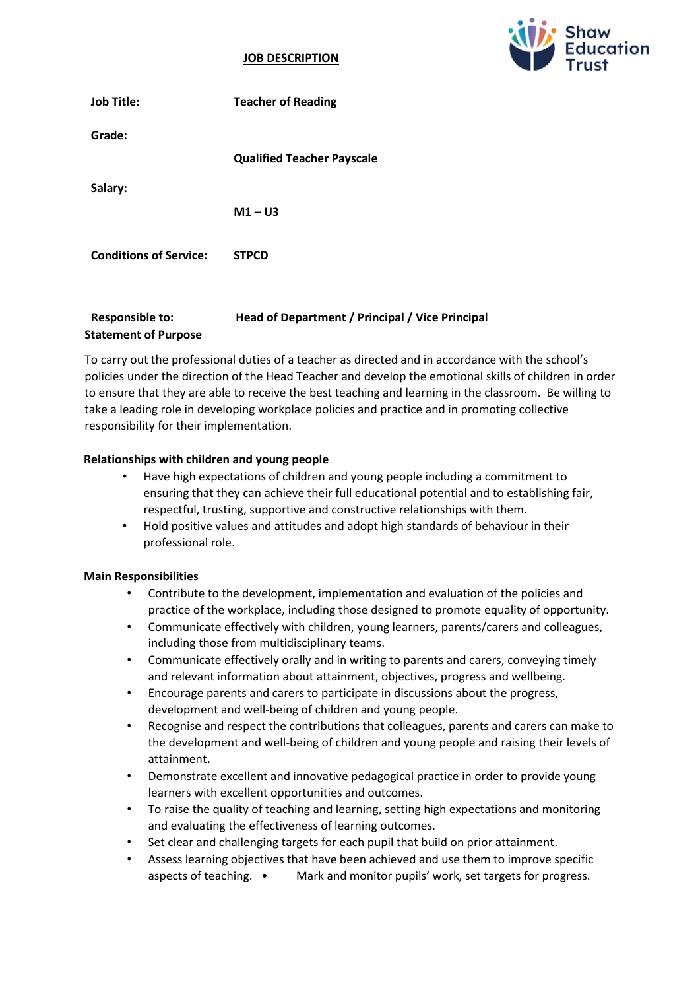#### **JOB DESCRIPTION**



| <b>Job Title:</b>             | <b>Teacher of Reading</b>         |
|-------------------------------|-----------------------------------|
| Grade:                        |                                   |
|                               | <b>Qualified Teacher Payscale</b> |
| Salary:                       |                                   |
|                               | $M1 - U3$                         |
| <b>Conditions of Service:</b> | <b>STPCD</b>                      |

# **Responsible to: Head of Department / Principal / Vice Principal Statement of Purpose**

To carry out the professional duties of a teacher as directed and in accordance with the school's policies under the direction of the Head Teacher and develop the emotional skills of children in order to ensure that they are able to receive the best teaching and learning in the classroom. Be willing to take a leading role in developing workplace policies and practice and in promoting collective responsibility for their implementation.

# **Relationships with children and young people**

- Have high expectations of children and young people including a commitment to ensuring that they can achieve their full educational potential and to establishing fair, respectful, trusting, supportive and constructive relationships with them.
- Hold positive values and attitudes and adopt high standards of behaviour in their professional role.

#### **Main Responsibilities**

- Contribute to the development, implementation and evaluation of the policies and practice of the workplace, including those designed to promote equality of opportunity.
- Communicate effectively with children, young learners, parents/carers and colleagues, including those from multidisciplinary teams.
- Communicate effectively orally and in writing to parents and carers, conveying timely and relevant information about attainment, objectives, progress and wellbeing.
- Encourage parents and carers to participate in discussions about the progress, development and well-being of children and young people.
- Recognise and respect the contributions that colleagues, parents and carers can make to the development and well-being of children and young people and raising their levels of attainment**.**
- Demonstrate excellent and innovative pedagogical practice in order to provide young learners with excellent opportunities and outcomes.
- To raise the quality of teaching and learning, setting high expectations and monitoring and evaluating the effectiveness of learning outcomes.
- Set clear and challenging targets for each pupil that build on prior attainment.
- Assess learning objectives that have been achieved and use them to improve specific aspects of teaching. • Mark and monitor pupils' work, set targets for progress.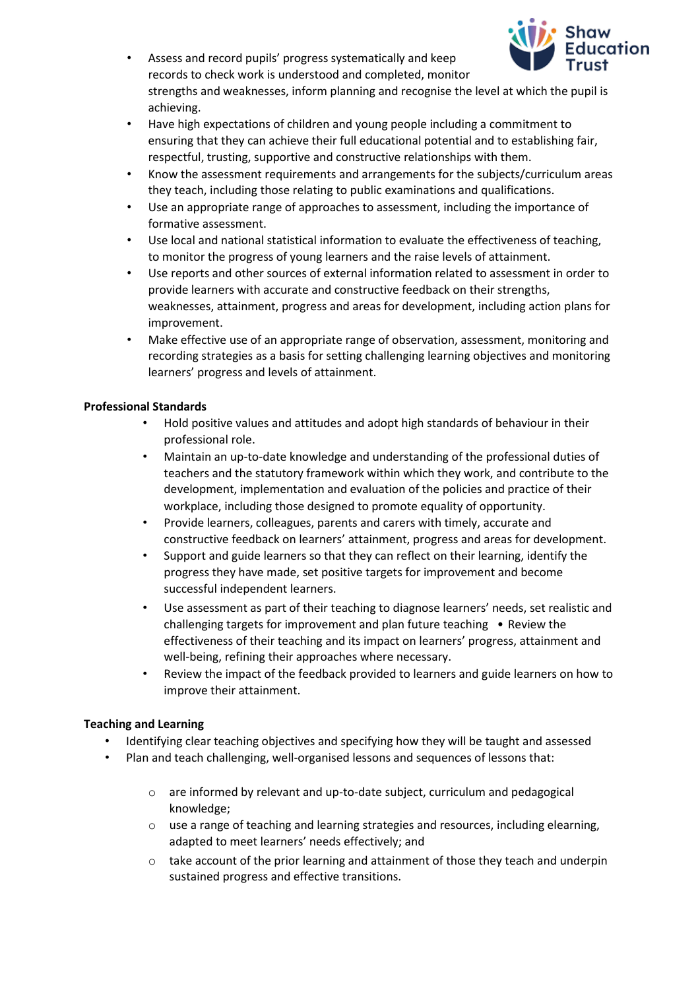

- Assess and record pupils' progress systematically and keep records to check work is understood and completed, monitor strengths and weaknesses, inform planning and recognise the level at which the pupil is achieving.
- Have high expectations of children and young people including a commitment to ensuring that they can achieve their full educational potential and to establishing fair, respectful, trusting, supportive and constructive relationships with them.
- Know the assessment requirements and arrangements for the subjects/curriculum areas they teach, including those relating to public examinations and qualifications.
- Use an appropriate range of approaches to assessment, including the importance of formative assessment.
- Use local and national statistical information to evaluate the effectiveness of teaching, to monitor the progress of young learners and the raise levels of attainment.
- Use reports and other sources of external information related to assessment in order to provide learners with accurate and constructive feedback on their strengths, weaknesses, attainment, progress and areas for development, including action plans for improvement.
- Make effective use of an appropriate range of observation, assessment, monitoring and recording strategies as a basis for setting challenging learning objectives and monitoring learners' progress and levels of attainment.

# **Professional Standards**

- Hold positive values and attitudes and adopt high standards of behaviour in their professional role.
- Maintain an up-to-date knowledge and understanding of the professional duties of teachers and the statutory framework within which they work, and contribute to the development, implementation and evaluation of the policies and practice of their workplace, including those designed to promote equality of opportunity.
- Provide learners, colleagues, parents and carers with timely, accurate and constructive feedback on learners' attainment, progress and areas for development.
- Support and guide learners so that they can reflect on their learning, identify the progress they have made, set positive targets for improvement and become successful independent learners.
- Use assessment as part of their teaching to diagnose learners' needs, set realistic and challenging targets for improvement and plan future teaching • Review the effectiveness of their teaching and its impact on learners' progress, attainment and well-being, refining their approaches where necessary.
- Review the impact of the feedback provided to learners and guide learners on how to improve their attainment.

# **Teaching and Learning**

- Identifying clear teaching objectives and specifying how they will be taught and assessed
- Plan and teach challenging, well-organised lessons and sequences of lessons that:
	- $\circ$  are informed by relevant and up-to-date subject, curriculum and pedagogical knowledge;
	- o use a range of teaching and learning strategies and resources, including elearning, adapted to meet learners' needs effectively; and
	- $\circ$  take account of the prior learning and attainment of those they teach and underpin sustained progress and effective transitions.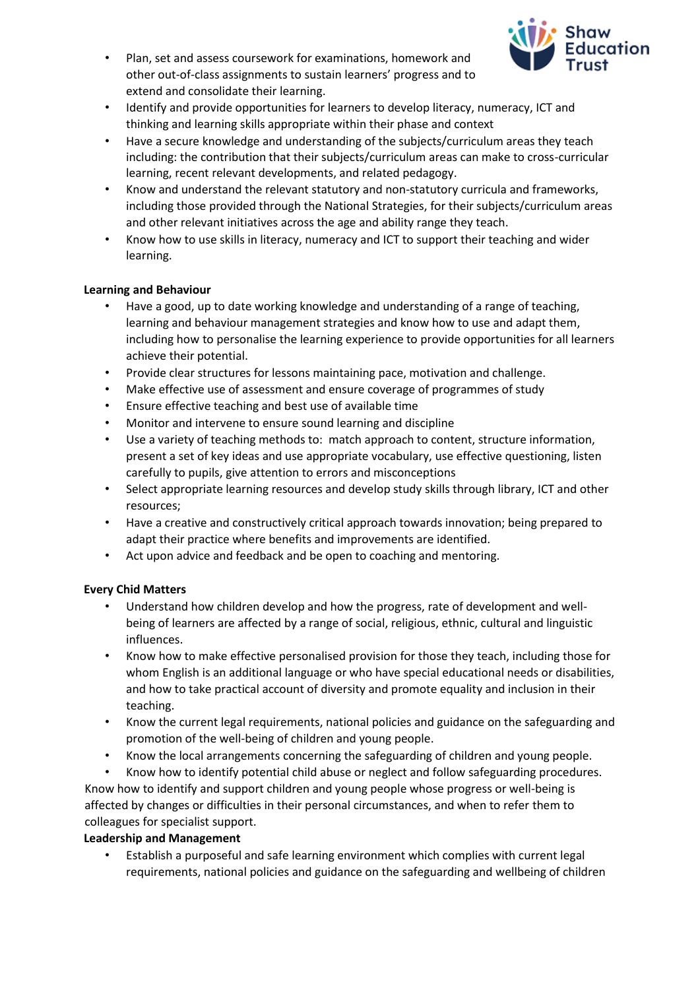

- Plan, set and assess coursework for examinations, homework and other out-of-class assignments to sustain learners' progress and to extend and consolidate their learning.
- Identify and provide opportunities for learners to develop literacy, numeracy, ICT and thinking and learning skills appropriate within their phase and context
- Have a secure knowledge and understanding of the subjects/curriculum areas they teach including: the contribution that their subjects/curriculum areas can make to cross-curricular learning, recent relevant developments, and related pedagogy.
- Know and understand the relevant statutory and non-statutory curricula and frameworks, including those provided through the National Strategies, for their subjects/curriculum areas and other relevant initiatives across the age and ability range they teach.
- Know how to use skills in literacy, numeracy and ICT to support their teaching and wider learning.

## **Learning and Behaviour**

- Have a good, up to date working knowledge and understanding of a range of teaching, learning and behaviour management strategies and know how to use and adapt them, including how to personalise the learning experience to provide opportunities for all learners achieve their potential.
- Provide clear structures for lessons maintaining pace, motivation and challenge.
- Make effective use of assessment and ensure coverage of programmes of study
- Ensure effective teaching and best use of available time
- Monitor and intervene to ensure sound learning and discipline
- Use a variety of teaching methods to: match approach to content, structure information, present a set of key ideas and use appropriate vocabulary, use effective questioning, listen carefully to pupils, give attention to errors and misconceptions
- Select appropriate learning resources and develop study skills through library, ICT and other resources;
- Have a creative and constructively critical approach towards innovation; being prepared to adapt their practice where benefits and improvements are identified.
- Act upon advice and feedback and be open to coaching and mentoring.

# **Every Chid Matters**

- Understand how children develop and how the progress, rate of development and wellbeing of learners are affected by a range of social, religious, ethnic, cultural and linguistic influences.
- Know how to make effective personalised provision for those they teach, including those for whom English is an additional language or who have special educational needs or disabilities, and how to take practical account of diversity and promote equality and inclusion in their teaching.
- Know the current legal requirements, national policies and guidance on the safeguarding and promotion of the well-being of children and young people.
- Know the local arrangements concerning the safeguarding of children and young people.

• Know how to identify potential child abuse or neglect and follow safeguarding procedures. Know how to identify and support children and young people whose progress or well-being is affected by changes or difficulties in their personal circumstances, and when to refer them to colleagues for specialist support.

# **Leadership and Management**

• Establish a purposeful and safe learning environment which complies with current legal requirements, national policies and guidance on the safeguarding and wellbeing of children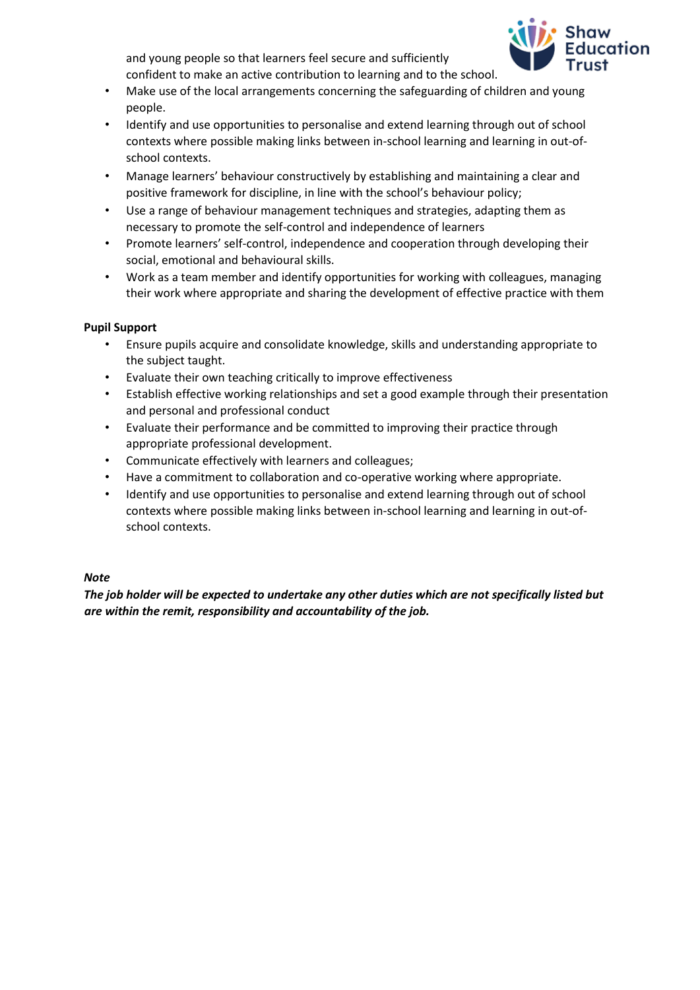

and young people so that learners feel secure and sufficiently confident to make an active contribution to learning and to the school.

- Make use of the local arrangements concerning the safeguarding of children and young people.
- Identify and use opportunities to personalise and extend learning through out of school contexts where possible making links between in-school learning and learning in out-ofschool contexts.
- Manage learners' behaviour constructively by establishing and maintaining a clear and positive framework for discipline, in line with the school's behaviour policy;
- Use a range of behaviour management techniques and strategies, adapting them as necessary to promote the self-control and independence of learners
- Promote learners' self-control, independence and cooperation through developing their social, emotional and behavioural skills.
- Work as a team member and identify opportunities for working with colleagues, managing their work where appropriate and sharing the development of effective practice with them

## **Pupil Support**

- Ensure pupils acquire and consolidate knowledge, skills and understanding appropriate to the subject taught.
- Evaluate their own teaching critically to improve effectiveness
- Establish effective working relationships and set a good example through their presentation and personal and professional conduct
- Evaluate their performance and be committed to improving their practice through appropriate professional development.
- Communicate effectively with learners and colleagues;
- Have a commitment to collaboration and co-operative working where appropriate.
- Identify and use opportunities to personalise and extend learning through out of school contexts where possible making links between in-school learning and learning in out-ofschool contexts.

# *Note*

*The job holder will be expected to undertake any other duties which are not specifically listed but are within the remit, responsibility and accountability of the job.*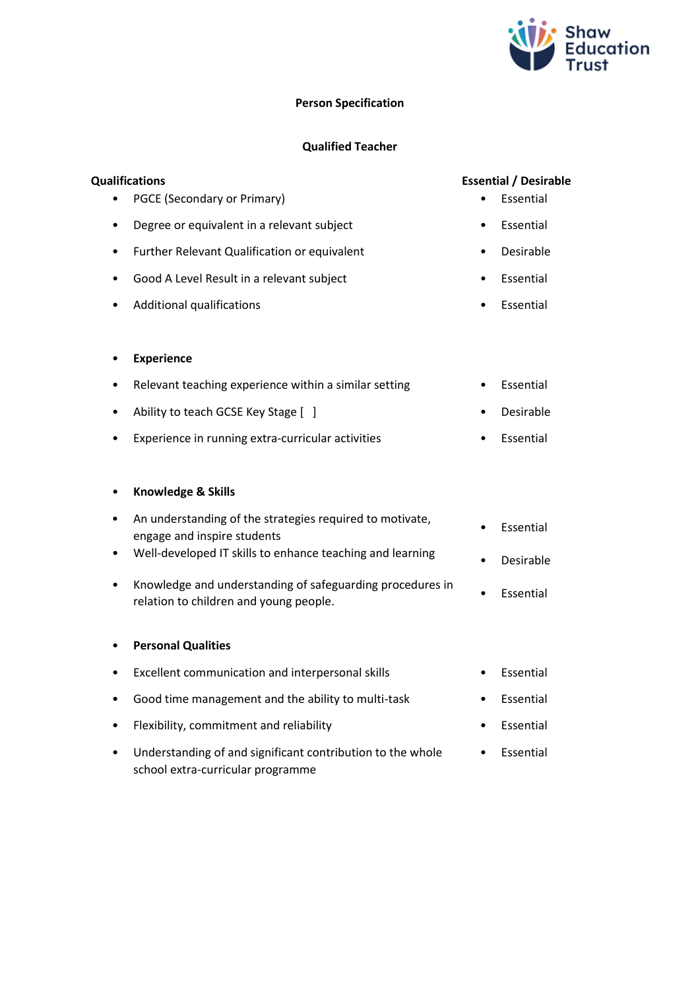

## **Person Specification**

## **Qualified Teacher**

# **Qualifications Essential / Desirable**

- PGCE (Secondary or Primary) Essential
	- Degree or equivalent in a relevant subject **•** Essential
- Further Relevant Qualification or equivalent Desirable
- Good A Level Result in a relevant subject Essential
- Additional qualifications Essential
- **Experience**
- Relevant teaching experience within a similar setting Essential
- Ability to teach GCSE Key Stage [ ] Desirable
- Experience in running extra-curricular activities Essential

#### • **Knowledge & Skills**

- An understanding of the strategies required to motivate, engage and inspire students • Essential engage and inspire students
- Well-developed IT skills to enhance teaching and learning
- Knowledge and understanding of safeguarding procedures in relation to children and young people.

#### • **Personal Qualities**

• Excellent communication and interpersonal skills • Essential • Good time management and the ability to multi-task • Essential • Flexibility, commitment and reliability • Essential Understanding of and significant contribution to the whole

school extra-curricular programme

- 
- 
- 
- 
- Desirable
- 

• Essential